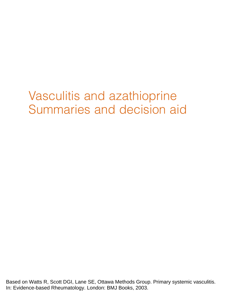# Vasculitis and azathioprine Summaries and decision aid

Based on Watts R, Scott DGI, Lane SE, Ottawa Methods Group. Primary systemic vasculitis. In: Evidence-based Rheumatology. London: BMJ Books, 2003.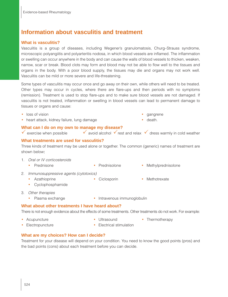# **Information about vasculitis and treatment**

#### **What is vasculitis?**

Vasculitis is a group of diseases, including Wegener's granulomatosis, Churg–Strauss syndrome, microscopic polyangiitis and polyarteritis nodosa, in which blood vessels are inflamed. The inflammation or swelling can occur anywhere in the body and can cause the walls of blood vessels to thicken, weaken, narrow, scar or break. Blood clots may form and blood may not be able to flow well to the tissues and organs in the body. With a poor blood supply, the tissues may die and organs may not work well. Vasculitis can be mild or more severe and life-threatening.

Some types of vasculitis may occur once and go away on their own, while others will need to be treated. Other types may occur in cycles, where there are flare-ups and then periods with no symptoms (remission). Treatment is used to stop flare-ups and to make sure blood vessels are not damaged. If vasculitis is not treated, inflammation or swelling in blood vessels can lead to permanent damage to tissues or organs and cause:

- loss of vision second state of the second state of the second state of the second state of the second state of the second state of the second state of the second state of the second state of the second state of the sec
- heart attack, kidney failure, lung damage **•** death.

#### **What can I do on my own to manage my disease?**

v exercise when possible  $\overline{v}$  avoid alcohol  $\overline{v}$  rest and relax  $\overline{v}$  dress warmly in cold weather

#### **What treatments are used for vasculitis?**

Three kinds of treatment may be used alone or together. The common (generic) names of treatment are shown below:

- 1. Oral or IV corticosteroids
	- Prednisone Prednisolone Prednisolone Methylprednisolone
- 2. Immunosuppressive agents (cytotoxics)
	- Azathioprine Ciclosporin Methotrexate
	- Cyclophosphamide
- 3. Other therapies
	- Plasma exchange Intravenous immunoglobulin

#### **What about other treatments I have heard about?**

There is not enough evidence about the effects of some treatments. Other treatments do not work. For example:

- 
- Acupuncture • Ultrasound Thermotherapy
- 
- Electropuncture Electrical stimulation

## **What are my choices? How can I decide?**

Treatment for your disease will depend on your condition. You need to know the good points (pros) and the bad points (cons) about each treatment before you can decide.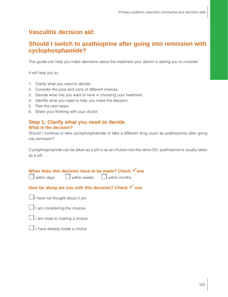# **Vasculitis decision aid:**

# **Should I switch to azathioprine after going into remission with cyclophosphamide?**

This guide can help you make decisions about the treatment your doctor is asking you to consider.

It will help you to:

- 1. Clarify what you need to decide
- 2. Consider the pros and cons of different choices.
- 3. Decide what role you want to have in choosing your treatment.
- 4. Identify what you need to help you make the decision.
- 5. Plan the next steps.
- 6. Share your thinking with your doctor.

#### **Step 1: Clarify what you need to decide What is the decision?**

Should I continue to take cyclophosphamide or take a different drug (such as azathioprine) after going into remission?

Cyclophosphamide can be taken as a pill or as an infusion into the veins (IV); azathioprine is usually taken as a pill.

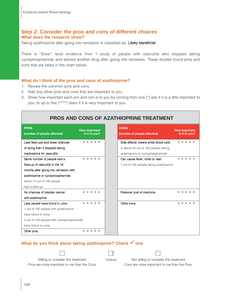### **Step 2: Consider the pros and cons of different choices What does the research show?**

Taking azathioprine after going into remission is classified as: Likely beneficial

There is "Silver" level evidence from 1 study of people with vasculitis who stopped taking cyclophosphamide and started another drug after going into remission. These studies found pros and cons that are listed in the chart below.

#### **What do I think of the pros and cons of azathioprine?**

1. Review the common pros and cons.

Ē

- 2. Add any other pros and cons that are important to you.
- 3. Show how important each pro and con is to you by circling from one (\*) star if it is a little important to you, to up to five (\*\*\*\*\*) stars if it is very important to you.

| <b>PROS AND CONS OF AZATHIOPRINE TREATMENT</b>                                                                                                                                                |                                       |                                                                                                                    |                                       |  |  |
|-----------------------------------------------------------------------------------------------------------------------------------------------------------------------------------------------|---------------------------------------|--------------------------------------------------------------------------------------------------------------------|---------------------------------------|--|--|
| <b>PROS</b><br>(number of people affected)                                                                                                                                                    | <b>How important</b><br>is it to you? | <b>CONS</b><br>(number of people affected)                                                                         | <b>How important</b><br>is it to you? |  |  |
| Less flare-ups and lower chances<br>of dying than if stopped taking<br>medications for vasculitis                                                                                             | * * * * *                             | Side effects: lowers white blood cells<br>in about 55 out of 100 people taking<br>azathioprine or cyclophosphamide | * * * * *                             |  |  |
| Same number of people had a<br>flare-up of vasculitis in the 18<br>months after going into remission with<br>azathioprine or cyclophosphamide<br>about 14 out of 100 people<br>had a flare-up | * * * * *                             | Can cause fever, chills or rash<br>7 out of 100 people taking azathioprine                                         | * * * * *                             |  |  |
| No chances of bladder cancer<br>with azathioprine                                                                                                                                             | * * * * *                             | Personal cost of medicine                                                                                          | * * * * *                             |  |  |
| Less people have blood in urine<br>1 out of 100 people with azathioprine<br>have blood in urine<br>4 out of 100 people with cyclophosphamide<br>have blood in urine<br>Other pros:            | * * * * *<br>* * * * *                | Other cons:                                                                                                        | * * * * *                             |  |  |

## **What do you think about taking azathioprine? Check √ one**

| Willing to consider this treatment     | Unsure | Not willing to consider this treatment |
|----------------------------------------|--------|----------------------------------------|
| is more important to me than the Canal |        | Cana are more important to me than the |



Pros are more important to me than the Cons Cons are more important to me than the Pros